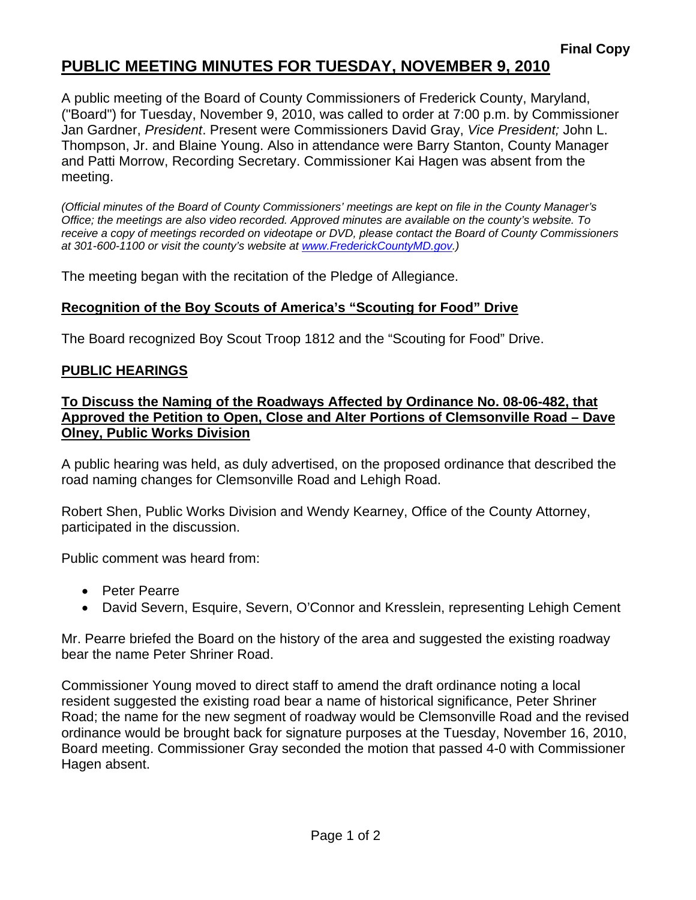# **PUBLIC MEETING MINUTES FOR TUESDAY, NOVEMBER 9, 2010**

A public meeting of the Board of County Commissioners of Frederick County, Maryland, ("Board") for Tuesday, November 9, 2010, was called to order at 7:00 p.m. by Commissioner Jan Gardner, *President*. Present were Commissioners David Gray, *Vice President;* John L. Thompson, Jr. and Blaine Young. Also in attendance were Barry Stanton, County Manager and Patti Morrow, Recording Secretary. Commissioner Kai Hagen was absent from the meeting.

*(Official minutes of the Board of County Commissioners' meetings are kept on file in the County Manager's Office; the meetings are also video recorded. Approved minutes are available on the county's website. To receive a copy of meetings recorded on videotape or DVD, please contact the Board of County Commissioners at 301-600-1100 or visit the county's website at [www.FrederickCountyMD.gov](http://www.frederickcountymd.gov/).)* 

The meeting began with the recitation of the Pledge of Allegiance.

## **Recognition of the Boy Scouts of America's "Scouting for Food" Drive**

The Board recognized Boy Scout Troop 1812 and the "Scouting for Food" Drive.

### **PUBLIC HEARINGS**

## **To Discuss the Naming of the Roadways Affected by Ordinance No. 08-06-482, that Approved the Petition to Open, Close and Alter Portions of Clemsonville Road – Dave Olney, Public Works Division**

A public hearing was held, as duly advertised, on the proposed ordinance that described the road naming changes for Clemsonville Road and Lehigh Road.

Robert Shen, Public Works Division and Wendy Kearney, Office of the County Attorney, participated in the discussion.

Public comment was heard from:

- Peter Pearre
- David Severn, Esquire, Severn, O'Connor and Kresslein, representing Lehigh Cement

Mr. Pearre briefed the Board on the history of the area and suggested the existing roadway bear the name Peter Shriner Road.

Commissioner Young moved to direct staff to amend the draft ordinance noting a local resident suggested the existing road bear a name of historical significance, Peter Shriner Road; the name for the new segment of roadway would be Clemsonville Road and the revised ordinance would be brought back for signature purposes at the Tuesday, November 16, 2010, Board meeting. Commissioner Gray seconded the motion that passed 4-0 with Commissioner Hagen absent.